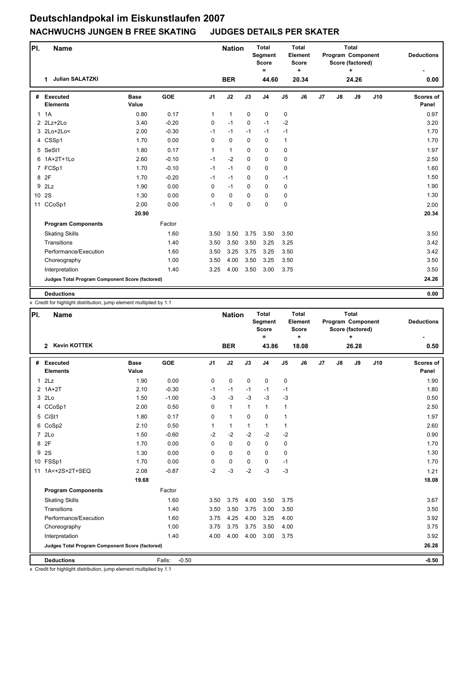| PI.          | <b>Name</b>                                     |                      |            |                | <b>Nation</b> |             | <b>Total</b><br>Segment<br><b>Score</b><br>$\equiv$ |                | Total<br>Element<br><b>Score</b><br>÷ |    | <b>Total</b><br>Program Component<br>Score (factored)<br>$\ddot{}$ |       |     | <b>Deductions</b>         |
|--------------|-------------------------------------------------|----------------------|------------|----------------|---------------|-------------|-----------------------------------------------------|----------------|---------------------------------------|----|--------------------------------------------------------------------|-------|-----|---------------------------|
|              | <b>Julian SALATZKI</b><br>1                     |                      |            |                | <b>BER</b>    |             | 44.60                                               |                | 20.34                                 |    |                                                                    | 24.26 |     | 0.00                      |
| #            | <b>Executed</b><br><b>Elements</b>              | <b>Base</b><br>Value | <b>GOE</b> | J <sub>1</sub> | J2            | J3          | J <sub>4</sub>                                      | J <sub>5</sub> | J6                                    | J7 | J8                                                                 | J9    | J10 | <b>Scores of</b><br>Panel |
| $\mathbf{1}$ | 1A                                              | 0.80                 | 0.17       | $\mathbf{1}$   | $\mathbf{1}$  | $\mathbf 0$ | 0                                                   | $\mathbf 0$    |                                       |    |                                                                    |       |     | 0.97                      |
|              | $2$ $2Lz+2Lo$                                   | 3.40                 | $-0.20$    | 0              | $-1$          | $\mathbf 0$ | $-1$                                                | $-2$           |                                       |    |                                                                    |       |     | 3.20                      |
|              | 3 2Lo+2Lo<                                      | 2.00                 | $-0.30$    | $-1$           | $-1$          | $-1$        | $-1$                                                | $-1$           |                                       |    |                                                                    |       |     | 1.70                      |
|              | 4 CSSp1                                         | 1.70                 | 0.00       | 0              | $\mathbf 0$   | $\mathbf 0$ | 0                                                   | $\mathbf{1}$   |                                       |    |                                                                    |       |     | 1.70                      |
| 5            | SeSt1                                           | 1.80                 | 0.17       | $\mathbf{1}$   | $\mathbf{1}$  | $\Omega$    | $\mathbf 0$                                         | 0              |                                       |    |                                                                    |       |     | 1.97                      |
|              | 6 1A+2T+1Lo                                     | 2.60                 | $-0.10$    | $-1$           | $-2$          | $\Omega$    | $\mathbf 0$                                         | 0              |                                       |    |                                                                    |       |     | 2.50                      |
|              | 7 FCSp1                                         | 1.70                 | $-0.10$    | $-1$           | $-1$          | $\Omega$    | $\mathbf 0$                                         | 0              |                                       |    |                                                                    |       |     | 1.60                      |
|              | 8 2F                                            | 1.70                 | $-0.20$    | $-1$           | $-1$          | $\mathbf 0$ | 0                                                   | $-1$           |                                       |    |                                                                    |       |     | 1.50                      |
| 9            | 2Lz                                             | 1.90                 | 0.00       | 0              | $-1$          | $\mathbf 0$ | 0                                                   | 0              |                                       |    |                                                                    |       |     | 1.90                      |
| 10 2S        |                                                 | 1.30                 | 0.00       | $\Omega$       | 0             | $\Omega$    | $\Omega$                                            | 0              |                                       |    |                                                                    |       |     | 1.30                      |
| 11           | CCoSp1                                          | 2.00                 | 0.00       | $-1$           | 0             | $\mathbf 0$ | 0                                                   | $\mathbf 0$    |                                       |    |                                                                    |       |     | 2.00                      |
|              |                                                 | 20.90                |            |                |               |             |                                                     |                |                                       |    |                                                                    |       |     | 20.34                     |
|              | <b>Program Components</b>                       |                      | Factor     |                |               |             |                                                     |                |                                       |    |                                                                    |       |     |                           |
|              | <b>Skating Skills</b>                           |                      | 1.60       | 3.50           | 3.50          | 3.75        | 3.50                                                | 3.50           |                                       |    |                                                                    |       |     | 3.50                      |
|              | Transitions                                     |                      | 1.40       | 3.50           | 3.50          | 3.50        | 3.25                                                | 3.25           |                                       |    |                                                                    |       |     | 3.42                      |
|              | Performance/Execution                           |                      | 1.60       | 3.50           | 3.25          | 3.75        | 3.25                                                | 3.50           |                                       |    |                                                                    |       |     | 3.42                      |
|              | Choreography                                    |                      | 1.00       | 3.50           | 4.00          | 3.50        | 3.25                                                | 3.50           |                                       |    |                                                                    |       |     | 3.50                      |
|              | Interpretation                                  |                      | 1.40       | 3.25           | 4.00          | 3.50        | 3.00                                                | 3.75           |                                       |    |                                                                    |       |     | 3.50                      |
|              | Judges Total Program Component Score (factored) |                      |            |                |               |             |                                                     |                |                                       |    |                                                                    |       |     | 24.26                     |
|              | <b>Deductions</b>                               |                      |            |                |               |             |                                                     |                |                                       |    |                                                                    |       |     | 0.00                      |

x Credit for highlight distribution, jump element multiplied by 1.1

| PI. | Name                                            |                      |                   |                | <b>Nation</b> |              | <b>Total</b><br>Segment<br>Score<br>$=$ |                | <b>Total</b><br>Element<br><b>Score</b><br>٠ |    | <b>Total</b><br>Program Component<br>Score (factored) | <b>Deductions</b> |     |                           |
|-----|-------------------------------------------------|----------------------|-------------------|----------------|---------------|--------------|-----------------------------------------|----------------|----------------------------------------------|----|-------------------------------------------------------|-------------------|-----|---------------------------|
|     | <b>Kevin KOTTEK</b><br>$\mathbf{2}$             |                      |                   |                | <b>BER</b>    |              | 43.86                                   |                | 18.08                                        |    |                                                       | 26.28             |     | 0.50                      |
| #   | Executed<br><b>Elements</b>                     | <b>Base</b><br>Value | <b>GOE</b>        | J <sub>1</sub> | J2            | J3           | J <sub>4</sub>                          | J <sub>5</sub> | J6                                           | J7 | J8                                                    | J9                | J10 | <b>Scores of</b><br>Panel |
| 1   | 2Lz                                             | 1.90                 | 0.00              | $\mathbf 0$    | 0             | 0            | 0                                       | 0              |                                              |    |                                                       |                   |     | 1.90                      |
|     | $2$ 1A+2T                                       | 2.10                 | $-0.30$           | $-1$           | $-1$          | $-1$         | $-1$                                    | $-1$           |                                              |    |                                                       |                   |     | 1.80                      |
|     | 3 2Lo                                           | 1.50                 | $-1.00$           | $-3$           | $-3$          | $-3$         | $-3$                                    | $-3$           |                                              |    |                                                       |                   |     | 0.50                      |
|     | 4 CCoSp1                                        | 2.00                 | 0.50              | 0              | $\mathbf{1}$  | $\mathbf{1}$ | $\mathbf{1}$                            | $\mathbf{1}$   |                                              |    |                                                       |                   |     | 2.50                      |
|     | 5 CiSt1                                         | 1.80                 | 0.17              | 0              | $\mathbf{1}$  | $\Omega$     | 0                                       | $\mathbf{1}$   |                                              |    |                                                       |                   |     | 1.97                      |
|     | 6 CoSp2                                         | 2.10                 | 0.50              | $\mathbf{1}$   | $\mathbf{1}$  | $\mathbf{1}$ | $\mathbf{1}$                            | $\mathbf{1}$   |                                              |    |                                                       |                   |     | 2.60                      |
|     | 7 2Lo                                           | 1.50                 | $-0.60$           | $-2$           | $-2$          | $-2$         | $-2$                                    | $-2$           |                                              |    |                                                       |                   |     | 0.90                      |
| 8   | 2F                                              | 1.70                 | 0.00              | 0              | $\mathbf 0$   | 0            | $\mathbf 0$                             | 0              |                                              |    |                                                       |                   |     | 1.70                      |
| 9   | <b>2S</b>                                       | 1.30                 | 0.00              | $\Omega$       | 0             | 0            | 0                                       | 0              |                                              |    |                                                       |                   |     | 1.30                      |
|     | 10 FSSp1                                        | 1.70                 | 0.00              | 0              | $\mathbf 0$   | $\Omega$     | 0                                       | $-1$           |                                              |    |                                                       |                   |     | 1.70                      |
| 11  | 1A<+2S+2T+SEQ                                   | 2.08                 | $-0.87$           | $-2$           | $-3$          | $-2$         | $-3$                                    | $-3$           |                                              |    |                                                       |                   |     | 1.21                      |
|     |                                                 | 19.68                |                   |                |               |              |                                         |                |                                              |    |                                                       |                   |     | 18.08                     |
|     | <b>Program Components</b>                       |                      | Factor            |                |               |              |                                         |                |                                              |    |                                                       |                   |     |                           |
|     | <b>Skating Skills</b>                           |                      | 1.60              | 3.50           | 3.75          | 4.00         | 3.50                                    | 3.75           |                                              |    |                                                       |                   |     | 3.67                      |
|     | Transitions                                     |                      | 1.40              | 3.50           | 3.50          | 3.75         | 3.00                                    | 3.50           |                                              |    |                                                       |                   |     | 3.50                      |
|     | Performance/Execution                           |                      | 1.60              | 3.75           | 4.25          | 4.00         | 3.25                                    | 4.00           |                                              |    |                                                       |                   |     | 3.92                      |
|     | Choreography                                    |                      | 1.00              | 3.75           | 3.75          | 3.75         | 3.50                                    | 4.00           |                                              |    |                                                       |                   |     | 3.75                      |
|     | Interpretation                                  |                      | 1.40              | 4.00           | 4.00          | 4.00         | 3.00                                    | 3.75           |                                              |    |                                                       |                   |     | 3.92                      |
|     | Judges Total Program Component Score (factored) |                      |                   |                |               |              |                                         |                |                                              |    |                                                       |                   |     | 26.28                     |
|     | <b>Deductions</b>                               |                      | $-0.50$<br>Falls: |                |               |              |                                         |                |                                              |    |                                                       |                   |     | $-0.50$                   |

x Credit for highlight distribution, jump element multiplied by 1.1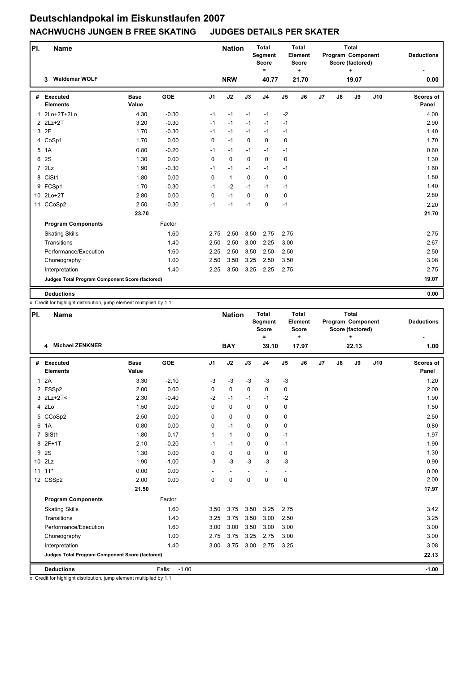| PI. | <b>Name</b>                                     |                      |            |                | <b>Nation</b> |             | <b>Total</b><br>Segment<br><b>Score</b><br>$\equiv$ |                | <b>Total</b><br>Element<br><b>Score</b><br>÷ |    | <b>Total</b><br>Program Component<br>Score (factored)<br>$\ddot{}$ |       |     | <b>Deductions</b>         |
|-----|-------------------------------------------------|----------------------|------------|----------------|---------------|-------------|-----------------------------------------------------|----------------|----------------------------------------------|----|--------------------------------------------------------------------|-------|-----|---------------------------|
|     | <b>Waldemar WOLF</b><br>3                       |                      |            |                | <b>NRW</b>    |             | 40.77                                               |                | 21.70                                        |    |                                                                    | 19.07 |     | 0.00                      |
| #   | <b>Executed</b><br><b>Elements</b>              | <b>Base</b><br>Value | <b>GOE</b> | J <sub>1</sub> | J2            | J3          | J <sub>4</sub>                                      | J <sub>5</sub> | J6                                           | J7 | J8                                                                 | J9    | J10 | <b>Scores of</b><br>Panel |
|     | 1 2Lo+2T+2Lo                                    | 4.30                 | $-0.30$    | $-1$           | $-1$          | $-1$        | $-1$                                                | $-2$           |                                              |    |                                                                    |       |     | 4.00                      |
|     | 2 2Lz+2T                                        | 3.20                 | $-0.30$    | $-1$           | $-1$          | $-1$        | $-1$                                                | $-1$           |                                              |    |                                                                    |       |     | 2.90                      |
|     | 3 2F                                            | 1.70                 | $-0.30$    | $-1$           | $-1$          | $-1$        | $-1$                                                | $-1$           |                                              |    |                                                                    |       |     | 1.40                      |
|     | 4 CoSp1                                         | 1.70                 | 0.00       | 0              | $-1$          | $\mathbf 0$ | 0                                                   | $\mathbf 0$    |                                              |    |                                                                    |       |     | 1.70                      |
|     | 5 1A                                            | 0.80                 | $-0.20$    | $-1$           | $-1$          | $-1$        | $-1$                                                | $-1$           |                                              |    |                                                                    |       |     | 0.60                      |
| 6   | 2S                                              | 1.30                 | 0.00       | $\Omega$       | $\Omega$      | $\Omega$    | $\mathbf 0$                                         | 0              |                                              |    |                                                                    |       |     | 1.30                      |
|     | 72Lz                                            | 1.90                 | $-0.30$    | $-1$           | $-1$          | $-1$        | $-1$                                                | $-1$           |                                              |    |                                                                    |       |     | 1.60                      |
|     | 8 CiSt1                                         | 1.80                 | 0.00       | 0              | $\mathbf{1}$  | 0           | 0                                                   | $\mathbf 0$    |                                              |    |                                                                    |       |     | 1.80                      |
|     | 9 FCSp1                                         | 1.70                 | $-0.30$    | $-1$           | $-2$          | $-1$        | $-1$                                                | $-1$           |                                              |    |                                                                    |       |     | 1.40                      |
|     | 10 2Lo+2T                                       | 2.80                 | 0.00       | $\Omega$       | $-1$          | $\Omega$    | $\Omega$                                            | 0              |                                              |    |                                                                    |       |     | 2.80                      |
| 11  | CCoSp2                                          | 2.50                 | $-0.30$    | $-1$           | $-1$          | $-1$        | 0                                                   | $-1$           |                                              |    |                                                                    |       |     | 2.20                      |
|     |                                                 | 23.70                |            |                |               |             |                                                     |                |                                              |    |                                                                    |       |     | 21.70                     |
|     | <b>Program Components</b>                       |                      | Factor     |                |               |             |                                                     |                |                                              |    |                                                                    |       |     |                           |
|     | <b>Skating Skills</b>                           |                      | 1.60       | 2.75           | 2.50          | 3.50        | 2.75                                                | 2.75           |                                              |    |                                                                    |       |     | 2.75                      |
|     | Transitions                                     |                      | 1.40       | 2.50           | 2.50          | 3.00        | 2.25                                                | 3.00           |                                              |    |                                                                    |       |     | 2.67                      |
|     | Performance/Execution                           |                      | 1.60       | 2.25           | 2.50          | 3.50        | 2.50                                                | 2.50           |                                              |    |                                                                    |       |     | 2.50                      |
|     | Choreography                                    |                      | 1.00       | 2.50           | 3.50          | 3.25        | 2.50                                                | 3.50           |                                              |    |                                                                    |       |     | 3.08                      |
|     | Interpretation                                  |                      | 1.40       | 2.25           | 3.50          | 3.25        | 2.25                                                | 2.75           |                                              |    |                                                                    |       |     | 2.75                      |
|     | Judges Total Program Component Score (factored) |                      |            |                |               |             |                                                     |                |                                              |    |                                                                    |       |     | 19.07                     |
|     | <b>Deductions</b>                               |                      |            |                |               |             |                                                     |                |                                              |    |                                                                    |       |     | 0.00                      |

x Credit for highlight distribution, jump element multiplied by 1.1

| PI.          | <b>Name</b>                                     |                      |                   |                | <b>Nation</b>            |             | <b>Total</b><br>Segment<br><b>Score</b><br>$\equiv$ |                | <b>Total</b><br>Element<br><b>Score</b><br>$\ddot{}$ |    |    | <b>Total</b><br>Program Component<br>Score (factored)<br>÷ | <b>Deductions</b> |                           |
|--------------|-------------------------------------------------|----------------------|-------------------|----------------|--------------------------|-------------|-----------------------------------------------------|----------------|------------------------------------------------------|----|----|------------------------------------------------------------|-------------------|---------------------------|
|              | <b>Michael ZENKNER</b><br>4                     |                      |                   |                | <b>BAY</b>               |             | 39.10                                               |                | 17.97                                                |    |    | 22.13                                                      |                   | 1.00                      |
| #            | <b>Executed</b><br><b>Elements</b>              | <b>Base</b><br>Value | <b>GOE</b>        | J <sub>1</sub> | J2                       | J3          | J <sub>4</sub>                                      | J <sub>5</sub> | J6                                                   | J7 | J8 | J9                                                         | J10               | <b>Scores of</b><br>Panel |
| $\mathbf{1}$ | 2A                                              | 3.30                 | $-2.10$           | $-3$           | $-3$                     | $-3$        | $-3$                                                | $-3$           |                                                      |    |    |                                                            |                   | 1.20                      |
|              | 2 FSSp2                                         | 2.00                 | 0.00              | 0              | $\mathbf 0$              | $\Omega$    | $\mathbf 0$                                         | 0              |                                                      |    |    |                                                            |                   | 2.00                      |
|              | $3$ $2Lz+2T<$                                   | 2.30                 | $-0.40$           | $-2$           | $-1$                     | $-1$        | $-1$                                                | $-2$           |                                                      |    |    |                                                            |                   | 1.90                      |
|              | 4 2Lo                                           | 1.50                 | 0.00              | $\Omega$       | 0                        | $\Omega$    | 0                                                   | 0              |                                                      |    |    |                                                            |                   | 1.50                      |
|              | 5 CCoSp2                                        | 2.50                 | 0.00              | 0              | 0                        | $\mathbf 0$ | $\mathbf 0$                                         | 0              |                                                      |    |    |                                                            |                   | 2.50                      |
| 6            | 1A                                              | 0.80                 | 0.00              | 0              | $-1$                     | $\mathbf 0$ | $\mathbf 0$                                         | 0              |                                                      |    |    |                                                            |                   | 0.80                      |
|              | 7 SISt1                                         | 1.80                 | 0.17              | $\mathbf{1}$   | $\mathbf{1}$             | $\mathbf 0$ | 0                                                   | $-1$           |                                                      |    |    |                                                            |                   | 1.97                      |
|              | 8 2F+1T                                         | 2.10                 | $-0.20$           | $-1$           | $-1$                     | $\Omega$    | $\mathbf 0$                                         | $-1$           |                                                      |    |    |                                                            |                   | 1.90                      |
|              | 9 2S                                            | 1.30                 | 0.00              | 0              | 0                        | $\mathbf 0$ | 0                                                   | 0              |                                                      |    |    |                                                            |                   | 1.30                      |
|              | 10 2Lz                                          | 1.90                 | $-1.00$           | $-3$           | $-3$                     | $-3$        | $-3$                                                | $-3$           |                                                      |    |    |                                                            |                   | 0.90                      |
|              | $11 \t1T^*$                                     | 0.00                 | 0.00              | $\overline{a}$ | $\overline{\phantom{m}}$ |             | $\overline{\phantom{a}}$                            | ٠              |                                                      |    |    |                                                            |                   | 0.00                      |
|              | 12 CSSp2                                        | 2.00                 | 0.00              | $\Omega$       | $\Omega$                 | $\Omega$    | $\Omega$                                            | 0              |                                                      |    |    |                                                            |                   | 2.00                      |
|              |                                                 | 21.50                |                   |                |                          |             |                                                     |                |                                                      |    |    |                                                            |                   | 17.97                     |
|              | <b>Program Components</b>                       |                      | Factor            |                |                          |             |                                                     |                |                                                      |    |    |                                                            |                   |                           |
|              | <b>Skating Skills</b>                           |                      | 1.60              | 3.50           | 3.75                     | 3.50        | 3.25                                                | 2.75           |                                                      |    |    |                                                            |                   | 3.42                      |
|              | Transitions                                     |                      | 1.40              | 3.25           | 3.75                     | 3.50        | 3.00                                                | 2.50           |                                                      |    |    |                                                            |                   | 3.25                      |
|              | Performance/Execution                           |                      | 1.60              | 3.00           | 3.00                     | 3.50        | 3.00                                                | 3.00           |                                                      |    |    |                                                            |                   | 3.00                      |
|              | Choreography                                    |                      | 1.00              | 2.75           | 3.75                     | 3.25        | 2.75                                                | 3.00           |                                                      |    |    |                                                            |                   | 3.00                      |
|              | Interpretation                                  |                      | 1.40              | 3.00           | 3.75                     | 3.00        | 2.75                                                | 3.25           |                                                      |    |    |                                                            |                   | 3.08                      |
|              | Judges Total Program Component Score (factored) |                      |                   |                |                          |             |                                                     |                |                                                      |    |    |                                                            |                   | 22.13                     |
|              | <b>Deductions</b>                               |                      | Falls:<br>$-1.00$ |                |                          |             |                                                     |                |                                                      |    |    |                                                            |                   | $-1.00$                   |

x Credit for highlight distribution, jump element multiplied by 1.1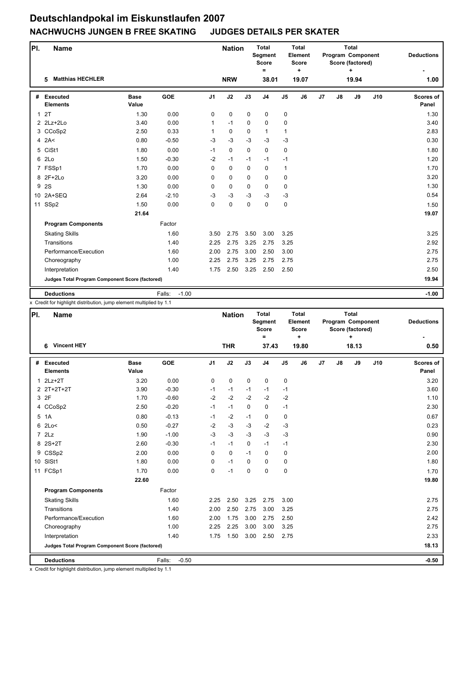| PI.          | <b>Name</b>                                     |                      |                   |                | <b>Nation</b> |              | <b>Total</b><br>Segment<br><b>Score</b><br>$=$ |               | <b>Total</b><br>Element<br><b>Score</b><br>÷ | <b>Total</b><br>Program Component<br>Score (factored)<br>$\ddot{}$ |               |       | <b>Deductions</b> |                           |
|--------------|-------------------------------------------------|----------------------|-------------------|----------------|---------------|--------------|------------------------------------------------|---------------|----------------------------------------------|--------------------------------------------------------------------|---------------|-------|-------------------|---------------------------|
|              | <b>Matthias HECHLER</b><br>5                    |                      |                   |                | <b>NRW</b>    |              | 38.01                                          |               | 19.07                                        |                                                                    |               | 19.94 |                   | 1.00                      |
| #            | Executed<br><b>Elements</b>                     | <b>Base</b><br>Value | <b>GOE</b>        | J <sub>1</sub> | J2            | J3           | J <sub>4</sub>                                 | $\mathsf{J}5$ | $\mathsf{J6}$                                | J7                                                                 | $\mathsf{J}8$ | J9    | J10               | <b>Scores of</b><br>Panel |
| $\mathbf{1}$ | 2T                                              | 1.30                 | 0.00              | 0              | 0             | $\mathbf 0$  | $\mathbf 0$                                    | 0             |                                              |                                                                    |               |       |                   | 1.30                      |
|              | $2$ $2Lz+2Lo$                                   | 3.40                 | 0.00              | 1              | $-1$          | $\mathbf 0$  | 0                                              | 0             |                                              |                                                                    |               |       |                   | 3.40                      |
|              | 3 CCoSp2                                        | 2.50                 | 0.33              | 1              | 0             | $\mathbf{0}$ | $\mathbf{1}$                                   | 1             |                                              |                                                                    |               |       |                   | 2.83                      |
|              | $4$ 2A<                                         | 0.80                 | $-0.50$           | $-3$           | $-3$          | $-3$         | $-3$                                           | $-3$          |                                              |                                                                    |               |       |                   | 0.30                      |
| 5            | CiSt1                                           | 1.80                 | 0.00              | $-1$           | 0             | $\mathbf 0$  | 0                                              | 0             |                                              |                                                                    |               |       |                   | 1.80                      |
| 6            | 2Lo                                             | 1.50                 | $-0.30$           | $-2$           | $-1$          | $-1$         | $-1$                                           | $-1$          |                                              |                                                                    |               |       |                   | 1.20                      |
|              | 7 FSSp1                                         | 1.70                 | 0.00              | 0              | 0             | $\mathbf 0$  | $\mathbf 0$                                    | 1             |                                              |                                                                    |               |       |                   | 1.70                      |
|              | 8 2F+2Lo                                        | 3.20                 | 0.00              | 0              | 0             | $\mathbf 0$  | 0                                              | 0             |                                              |                                                                    |               |       |                   | 3.20                      |
| 9            | 2S                                              | 1.30                 | 0.00              | 0              | 0             | $\mathbf 0$  | 0                                              | 0             |                                              |                                                                    |               |       |                   | 1.30                      |
|              | 10 2A+SEQ                                       | 2.64                 | $-2.10$           | $-3$           | $-3$          | $-3$         | $-3$                                           | $-3$          |                                              |                                                                    |               |       |                   | 0.54                      |
| 11           | SSp2                                            | 1.50                 | 0.00              | 0              | 0             | 0            | 0                                              | 0             |                                              |                                                                    |               |       |                   | 1.50                      |
|              |                                                 | 21.64                |                   |                |               |              |                                                |               |                                              |                                                                    |               |       |                   | 19.07                     |
|              | <b>Program Components</b>                       |                      | Factor            |                |               |              |                                                |               |                                              |                                                                    |               |       |                   |                           |
|              | <b>Skating Skills</b>                           |                      | 1.60              | 3.50           | 2.75          | 3.50         | 3.00                                           | 3.25          |                                              |                                                                    |               |       |                   | 3.25                      |
|              | Transitions                                     |                      | 1.40              | 2.25           | 2.75          | 3.25         | 2.75                                           | 3.25          |                                              |                                                                    |               |       |                   | 2.92                      |
|              | Performance/Execution                           |                      | 1.60              | 2.00           | 2.75          | 3.00         | 2.50                                           | 3.00          |                                              |                                                                    |               |       |                   | 2.75                      |
|              | Choreography                                    |                      | 1.00              | 2.25           | 2.75          | 3.25         | 2.75                                           | 2.75          |                                              |                                                                    |               |       |                   | 2.75                      |
|              | Interpretation                                  |                      | 1.40              | 1.75           | 2.50          | 3.25         | 2.50                                           | 2.50          |                                              |                                                                    |               |       |                   | 2.50                      |
|              | Judges Total Program Component Score (factored) |                      |                   |                |               |              |                                                |               |                                              |                                                                    |               |       |                   | 19.94                     |
|              | <b>Deductions</b>                               |                      | Falls:<br>$-1.00$ |                |               |              |                                                |               |                                              |                                                                    |               |       |                   | $-1.00$                   |

x Credit for highlight distribution, jump element multiplied by 1.1

| PI. | Name                                            |                      |                   |                | <b>Nation</b> |             | <b>Total</b><br>Segment<br><b>Score</b><br>$=$ |                | Total<br>Element<br><b>Score</b><br>÷ |    |    | <b>Total</b><br>Program Component<br>Score (factored)<br>+ | <b>Deductions</b> |                           |
|-----|-------------------------------------------------|----------------------|-------------------|----------------|---------------|-------------|------------------------------------------------|----------------|---------------------------------------|----|----|------------------------------------------------------------|-------------------|---------------------------|
|     | <b>Vincent HEY</b><br>6                         |                      |                   |                | <b>THR</b>    |             | 37.43                                          |                | 19.80                                 |    |    | 18.13                                                      |                   | 0.50                      |
| #   | <b>Executed</b><br><b>Elements</b>              | <b>Base</b><br>Value | GOE               | J <sub>1</sub> | J2            | J3          | J <sub>4</sub>                                 | J <sub>5</sub> | J6                                    | J7 | J8 | J9                                                         | J10               | <b>Scores of</b><br>Panel |
|     | $12Lz+2T$                                       | 3.20                 | 0.00              | 0              | $\mathbf 0$   | $\mathbf 0$ | $\mathbf 0$                                    | 0              |                                       |    |    |                                                            |                   | 3.20                      |
|     | 2 2T+2T+2T                                      | 3.90                 | $-0.30$           | $-1$           | $-1$          | $-1$        | $-1$                                           | $-1$           |                                       |    |    |                                                            |                   | 3.60                      |
|     | 3 2F                                            | 1.70                 | $-0.60$           | $-2$           | $-2$          | $-2$        | $-2$                                           | $-2$           |                                       |    |    |                                                            |                   | 1.10                      |
|     | 4 CCoSp2                                        | 2.50                 | $-0.20$           | $-1$           | $-1$          | $\Omega$    | 0                                              | $-1$           |                                       |    |    |                                                            |                   | 2.30                      |
| 5   | 1A                                              | 0.80                 | $-0.13$           | $-1$           | $-2$          | $-1$        | 0                                              | 0              |                                       |    |    |                                                            |                   | 0.67                      |
|     | $6$ 2Lo<                                        | 0.50                 | $-0.27$           | $-2$           | $-3$          | $-3$        | $-2$                                           | $-3$           |                                       |    |    |                                                            |                   | 0.23                      |
|     | 72Lz                                            | 1.90                 | $-1.00$           | $-3$           | $-3$          | $-3$        | $-3$                                           | $-3$           |                                       |    |    |                                                            |                   | 0.90                      |
|     | 8 2S+2T                                         | 2.60                 | $-0.30$           | $-1$           | $-1$          | $\Omega$    | $-1$                                           | $-1$           |                                       |    |    |                                                            |                   | 2.30                      |
|     | 9 CSSp2                                         | 2.00                 | 0.00              | 0              | $\mathbf 0$   | $-1$        | $\mathbf 0$                                    | $\mathbf 0$    |                                       |    |    |                                                            |                   | 2.00                      |
|     | 10 SISt1                                        | 1.80                 | 0.00              | 0              | $-1$          | $\Omega$    | 0                                              | $\mathbf 0$    |                                       |    |    |                                                            |                   | 1.80                      |
|     | 11 FCSp1                                        | 1.70                 | 0.00              | 0              | $-1$          | $\mathbf 0$ | 0                                              | 0              |                                       |    |    |                                                            |                   | 1.70                      |
|     |                                                 | 22.60                |                   |                |               |             |                                                |                |                                       |    |    |                                                            |                   | 19.80                     |
|     | <b>Program Components</b>                       |                      | Factor            |                |               |             |                                                |                |                                       |    |    |                                                            |                   |                           |
|     | <b>Skating Skills</b>                           |                      | 1.60              | 2.25           | 2.50          | 3.25        | 2.75                                           | 3.00           |                                       |    |    |                                                            |                   | 2.75                      |
|     | Transitions                                     |                      | 1.40              | 2.00           | 2.50          | 2.75        | 3.00                                           | 3.25           |                                       |    |    |                                                            |                   | 2.75                      |
|     | Performance/Execution                           |                      | 1.60              | 2.00           | 1.75          | 3.00        | 2.75                                           | 2.50           |                                       |    |    |                                                            |                   | 2.42                      |
|     | Choreography                                    |                      | 1.00              | 2.25           | 2.25          | 3.00        | 3.00                                           | 3.25           |                                       |    |    |                                                            |                   | 2.75                      |
|     | Interpretation                                  |                      | 1.40              | 1.75           | 1.50          | 3.00        | 2.50                                           | 2.75           |                                       |    |    |                                                            |                   | 2.33                      |
|     | Judges Total Program Component Score (factored) |                      |                   |                |               |             |                                                |                |                                       |    |    |                                                            |                   | 18.13                     |
|     | <b>Deductions</b>                               |                      | Falls:<br>$-0.50$ |                |               |             |                                                |                |                                       |    |    |                                                            |                   | $-0.50$                   |

x Credit for highlight distribution, jump element multiplied by 1.1